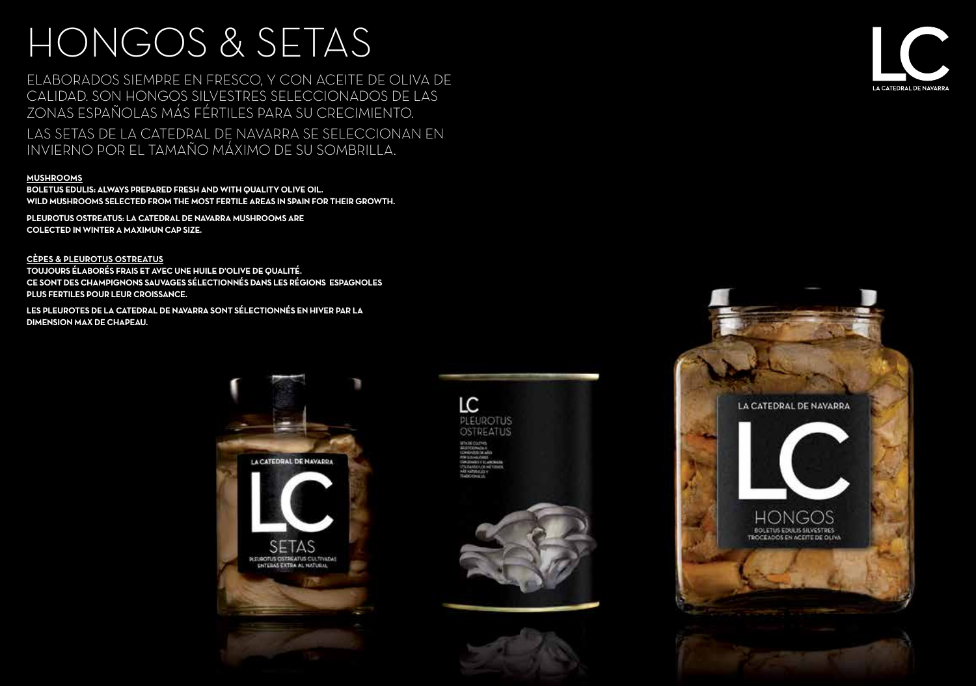# HONGOS & SETAS

ELABORADOS SIEMPRE EN FRESCO, Y CON ACEITE DE OLIVA DE CALIDAD. SON HONGOS SILVESTRES SELECCIONADOS DE LAS ZONAS ESPAÑOLAS MÁS FÉRTILES PARA SU CRECIMIENTO.

LAS SETAS DE LA CATEDRAL DE NAVARRA SE SELECCIONAN EN INVIERNO POR EL TAMAÑO MÁXIMO DE SU SOMBRILLA.

#### **MUSHROOMS**

**BOLETUS EDULIS: ALWAYS PREPARED FRESH AND WITH QUALITY OLIVE OIL. WILD MUSHROOMS SELECTED FROM THE MOST FERTILE AREAS IN SPAIN FOR THEIR GROWTH.**

**PLEUROTUS OSTREATUS: LA CATEDRAL DE NAVARRA MUSHROOMS ARE COLECTED IN WINTER A MAXIMUN CAP SIZE.**

**CÈPES & PLEUROTUS OSTREATUS TOUJOURS ÉLABORÉS FRAIS ET AVEC UNE HUILE D'OLIVE DE QUALITÉ. CE SONT DES CHAMPIGNONS SAUVAGES SÉLECTIONNÉS DANS LES RÉGIONS ESPAGNOLES PLUS FERTILES POUR LEUR CROISSANCE.**

**LES PLEUROTES DE LA CATEDRAL DE NAVARRA SONT SÉLECTIONNÉS EN HIVER PAR LA DIMENSION MAX DE CHAPEAU.**